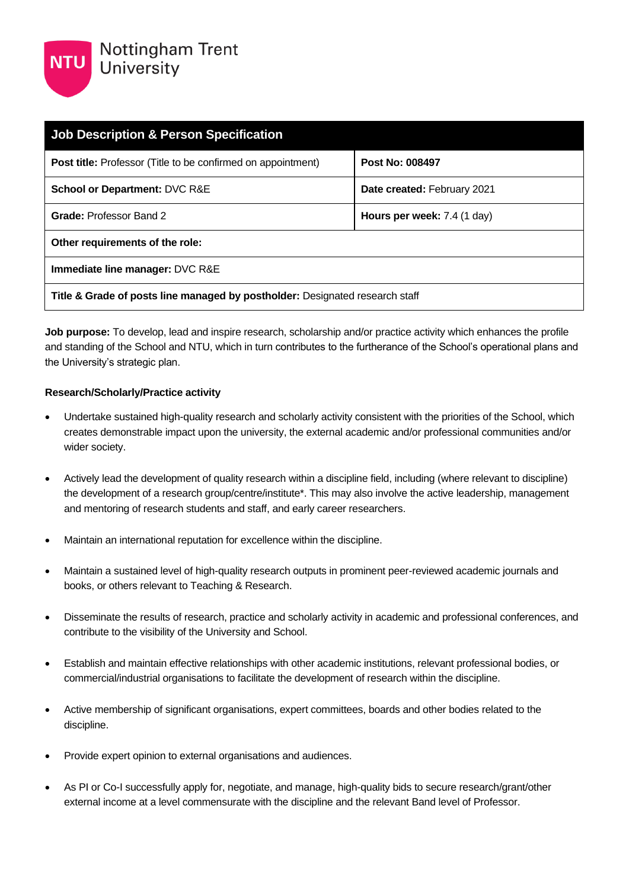| <b>Job Description &amp; Person Specification</b>                            |                                      |  |
|------------------------------------------------------------------------------|--------------------------------------|--|
| Post title: Professor (Title to be confirmed on appointment)                 | Post No: 008497                      |  |
| <b>School or Department: DVC R&amp;E</b>                                     | Date created: February 2021          |  |
| <b>Grade: Professor Band 2</b>                                               | <b>Hours per week:</b> $7.4$ (1 day) |  |
| Other requirements of the role:                                              |                                      |  |
| Immediate line manager: DVC R&E                                              |                                      |  |
| Title & Grade of posts line managed by postholder: Designated research staff |                                      |  |

**Job purpose:** To develop, lead and inspire research, scholarship and/or practice activity which enhances the profile and standing of the School and NTU, which in turn contributes to the furtherance of the School's operational plans and the University's strategic plan.

### **Research/Scholarly/Practice activity**

- Undertake sustained high-quality research and scholarly activity consistent with the priorities of the School, which creates demonstrable impact upon the university, the external academic and/or professional communities and/or wider society.
- Actively lead the development of quality research within a discipline field, including (where relevant to discipline) the development of a research group/centre/institute\*. This may also involve the active leadership, management and mentoring of research students and staff, and early career researchers.
- Maintain an international reputation for excellence within the discipline.
- Maintain a sustained level of high-quality research outputs in prominent peer-reviewed academic journals and books, or others relevant to Teaching & Research.
- Disseminate the results of research, practice and scholarly activity in academic and professional conferences, and contribute to the visibility of the University and School.
- Establish and maintain effective relationships with other academic institutions, relevant professional bodies, or commercial/industrial organisations to facilitate the development of research within the discipline.
- Active membership of significant organisations, expert committees, boards and other bodies related to the discipline.
- Provide expert opinion to external organisations and audiences.
- As PI or Co-I successfully apply for, negotiate, and manage, high-quality bids to secure research/grant/other external income at a level commensurate with the discipline and the relevant Band level of Professor.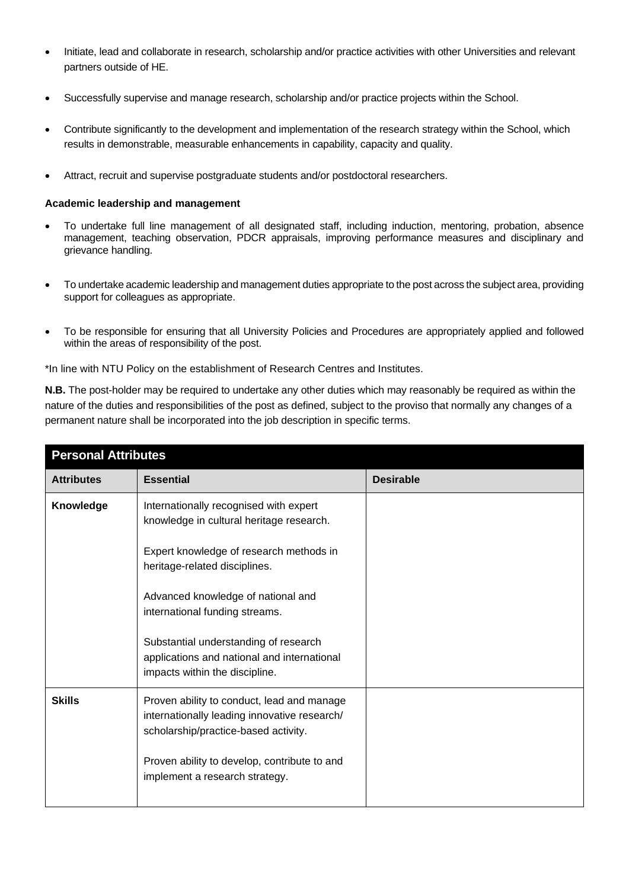- Initiate, lead and collaborate in research, scholarship and/or practice activities with other Universities and relevant partners outside of HE.
- Successfully supervise and manage research, scholarship and/or practice projects within the School.
- Contribute significantly to the development and implementation of the research strategy within the School, which results in demonstrable, measurable enhancements in capability, capacity and quality.
- Attract, recruit and supervise postgraduate students and/or postdoctoral researchers.

#### **Academic leadership and management**

- To undertake full line management of all designated staff, including induction, mentoring, probation, absence management, teaching observation, PDCR appraisals, improving performance measures and disciplinary and grievance handling.
- To undertake academic leadership and management duties appropriate to the post across the subject area, providing support for colleagues as appropriate.
- To be responsible for ensuring that all University Policies and Procedures are appropriately applied and followed within the areas of responsibility of the post.

\*In line with NTU Policy on the establishment of Research Centres and Institutes.

**N.B.** The post-holder may be required to undertake any other duties which may reasonably be required as within the nature of the duties and responsibilities of the post as defined, subject to the proviso that normally any changes of a permanent nature shall be incorporated into the job description in specific terms.

| <b>Personal Attributes</b> |                                                                                                                                    |                  |  |
|----------------------------|------------------------------------------------------------------------------------------------------------------------------------|------------------|--|
| <b>Attributes</b>          | <b>Essential</b>                                                                                                                   | <b>Desirable</b> |  |
| Knowledge                  | Internationally recognised with expert<br>knowledge in cultural heritage research.                                                 |                  |  |
|                            | Expert knowledge of research methods in<br>heritage-related disciplines.                                                           |                  |  |
|                            | Advanced knowledge of national and<br>international funding streams.                                                               |                  |  |
|                            | Substantial understanding of research<br>applications and national and international<br>impacts within the discipline.             |                  |  |
| <b>Skills</b>              | Proven ability to conduct, lead and manage<br>internationally leading innovative research/<br>scholarship/practice-based activity. |                  |  |
|                            | Proven ability to develop, contribute to and<br>implement a research strategy.                                                     |                  |  |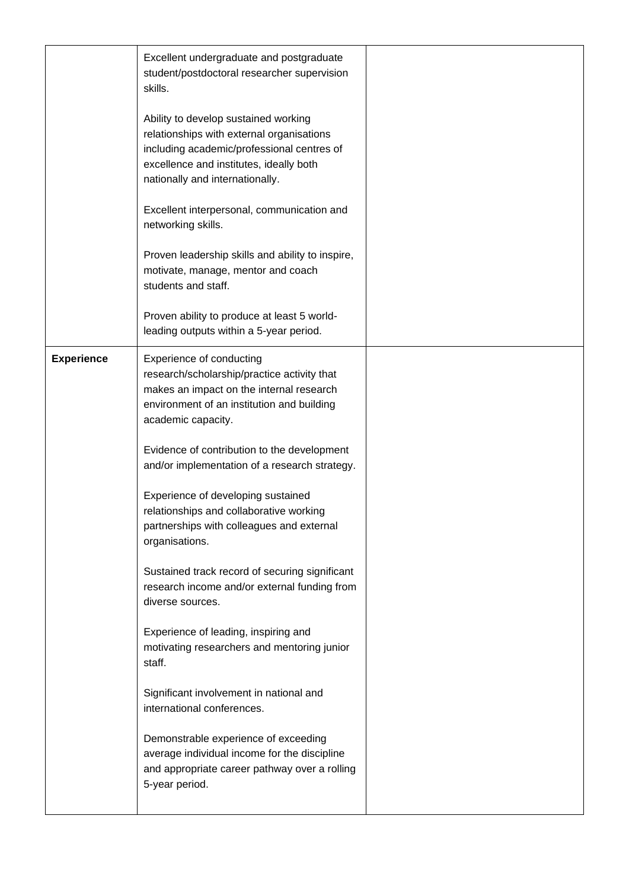|                   | Excellent undergraduate and postgraduate<br>student/postdoctoral researcher supervision<br>skills.<br>Ability to develop sustained working<br>relationships with external organisations<br>including academic/professional centres of<br>excellence and institutes, ideally both<br>nationally and internationally.<br>Excellent interpersonal, communication and<br>networking skills.<br>Proven leadership skills and ability to inspire,<br>motivate, manage, mentor and coach<br>students and staff. |  |
|-------------------|----------------------------------------------------------------------------------------------------------------------------------------------------------------------------------------------------------------------------------------------------------------------------------------------------------------------------------------------------------------------------------------------------------------------------------------------------------------------------------------------------------|--|
|                   | Proven ability to produce at least 5 world-<br>leading outputs within a 5-year period.                                                                                                                                                                                                                                                                                                                                                                                                                   |  |
| <b>Experience</b> | <b>Experience of conducting</b><br>research/scholarship/practice activity that<br>makes an impact on the internal research<br>environment of an institution and building<br>academic capacity.                                                                                                                                                                                                                                                                                                           |  |
|                   | Evidence of contribution to the development<br>and/or implementation of a research strategy.                                                                                                                                                                                                                                                                                                                                                                                                             |  |
|                   | Experience of developing sustained<br>relationships and collaborative working<br>partnerships with colleagues and external<br>organisations.                                                                                                                                                                                                                                                                                                                                                             |  |
|                   | Sustained track record of securing significant<br>research income and/or external funding from<br>diverse sources.                                                                                                                                                                                                                                                                                                                                                                                       |  |
|                   | Experience of leading, inspiring and<br>motivating researchers and mentoring junior<br>staff.                                                                                                                                                                                                                                                                                                                                                                                                            |  |
|                   | Significant involvement in national and<br>international conferences.                                                                                                                                                                                                                                                                                                                                                                                                                                    |  |
|                   | Demonstrable experience of exceeding<br>average individual income for the discipline<br>and appropriate career pathway over a rolling<br>5-year period.                                                                                                                                                                                                                                                                                                                                                  |  |